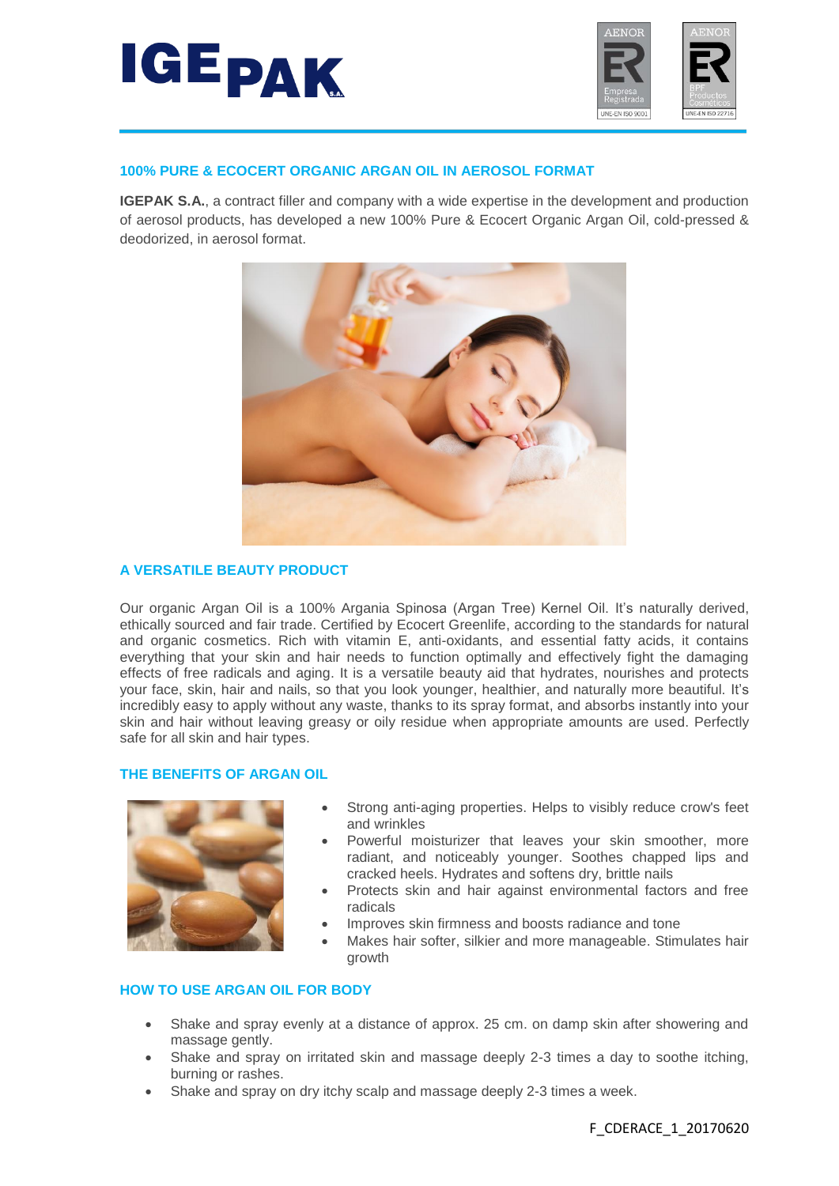



## **100% PURE & ECOCERT ORGANIC ARGAN OIL IN AEROSOL FORMAT**

**IGEPAK S.A.**, a contract filler and company with a wide expertise in the development and production of aerosol products, has developed a new 100% Pure & Ecocert Organic Argan Oil, cold-pressed & deodorized, in aerosol format.



# **A VERSATILE BEAUTY PRODUCT**

Our organic Argan Oil is a 100% Argania Spinosa (Argan Tree) Kernel Oil. It's naturally derived, ethically sourced and fair trade. Certified by Ecocert Greenlife, according to the standards for natural and organic cosmetics. Rich with vitamin E, anti-oxidants, and essential fatty acids, it contains everything that your skin and hair needs to function optimally and effectively fight the damaging effects of free radicals and aging. It is a versatile beauty aid that hydrates, nourishes and protects your face, skin, hair and nails, so that you look younger, healthier, and naturally more beautiful. It's incredibly easy to apply without any waste, thanks to its spray format, and absorbs instantly into your skin and hair without leaving greasy or oily residue when appropriate amounts are used. Perfectly safe for all skin and hair types.

# **THE BENEFITS OF ARGAN OIL**



- Strong anti-aging properties. Helps to visibly reduce crow's feet and wrinkles
- Powerful moisturizer that leaves your skin smoother, more radiant, and noticeably younger. Soothes chapped lips and cracked heels. Hydrates and softens dry, brittle nails
- Protects skin and hair against environmental factors and free radicals
- Improves skin firmness and boosts radiance and tone
- Makes hair softer, silkier and more manageable. Stimulates hair growth

#### **HOW TO USE ARGAN OIL FOR BODY**

- Shake and spray evenly at a distance of approx. 25 cm. on damp skin after showering and massage gently.
- Shake and spray on irritated skin and massage deeply 2-3 times a day to soothe itching, burning or rashes.
- Shake and spray on dry itchy scalp and massage deeply 2-3 times a week.